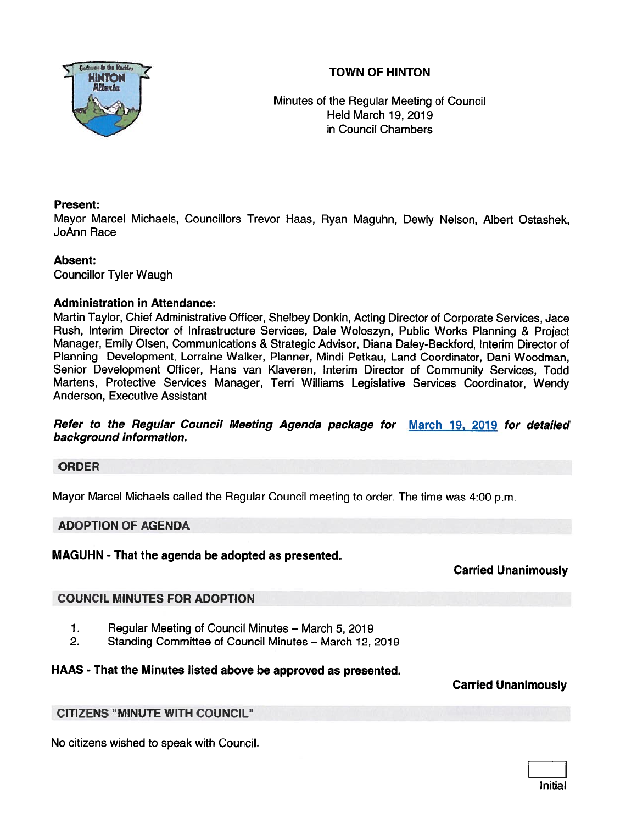# TOWN OF HINTON



Minutes of the Regular Meeting of Council Held March 19, 2019 in Council Chambers

# Present:

Mayor Marcel Michaels, Councillors Trevor Haas, Ryan Maguhn, Dewly Nelson, Albert Ostashek, JoAnn Race

# Absent:

Councillor Tyler Waugh

# Administration in Attendance:

Martin Taylor, Chief Administrative Officer, Shelbey Donkin, Acting Director of Corporate Services, Jace Rush, Interim Director of Infrastructure Services, Dale Woloszyn, Public Works Planning & Project Manager, Emily Olsen, Communications & Strategic Advisor, Diana Daley-Beckford, Interim Director of Planning Development, Lorraine Walker, Planner, Mindi Petkau, Land Coordinator, Dani Woodman, Senior Development Officer, Hans van Kiaveren, Interim Director of Community Services, Todd Martens, Protective Services Manager, Terri Williams Legislative Services Coordinator, Wendy Anderson, Executive Assistant

Refer to the Regular Council Meeting Agenda package for March 19, 2019 for detailed background information.

# ORDER

Mayor Marcel Michaels called the Regular Council meeting to order. The time was 4:00 p.m.

# ADOPTION OF AGENDA

MAGUHN - That the agenda be adopted as presented.

# Carried Unanimously

# COUNCIL MINUTES FOR ADOPTION

- 1. Regular Meeting of Council Minutes March 5, 2019
- 2. Standing Committee of Council Minutes March 12, 2019

# HAAS - That the Minutes listed above be approved as presented.

Carried Unanimously

# CITIZENS "MINUTE WITH COUNCIL"

No citizens wished to speak with Council.

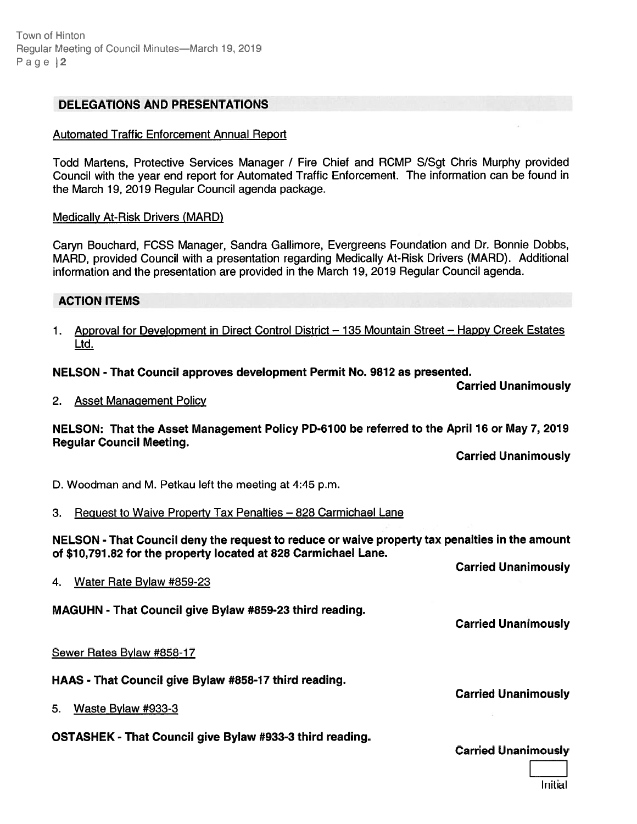Town of Hinton Regular Meeting of Council Minutes—March 19, 2019 Page | 2

# DELEGATIONS AND PRESENTATIONS

### Automated Traffic Enforcement Annual Report

Todd Martens, Protective Services Manager / Fire Chief and RCMP S/Sgt Chris Murphy provided Council with the year end repor<sup>t</sup> for Automated Traffic Enforcement. The information can be found in the March 19, 2019 Regular Council agenda package.

#### Medically At-Risk Drivers (MARD)

Caryn Bouchard, FCSS Manager, Sandra Gallimore, Evergreens Foundation and Dr. Bonnie Dobbs, MARD, provided Council with <sup>a</sup> presentation regarding Medically At-Risk Drivers (MARD). Additional information and the presentation are provided in the March 19, 2019 Regular Council agenda.

### ACTION ITEMS

1. Approval for Development in Direct Control District — 135 Mountain Street — Happy Creek Estates Ltd.

### NELSON - That Council approves development Permit No. 9672 as presented.

Carried Unanimously

2. Asset Management Policy

### NELSON: That the Asset Management Policy PD-6100 be referred to the April 16 or May 7, 2019 Regular Council Meeting.

Carried Unanimously

D. Woodman and M. Petkau left the meeting at 4:45 p.m.

3. Request to Waive Property Tax Penalties — <sup>828</sup> Carmichael Lane

NELSON - That Council deny the reques<sup>t</sup> to reduce or waive property tax penalties in the amount of \$10,791.82 for the property located at 828 Carmichael Lane.

Carried Unanimously

Carried Unanimously

4. Water Rate Bylaw #859-23

MAGUHN - That Council give Bylaw #859-23 third reading.

### Sewer Rates Bylaw #858-17

HAAS -That Council give Bylaw #858-17 third reading.

5. Waste Bylaw #933-3

OSTASHEK - That Council give Bylaw #933-3 third reading.

Carried Unanimously

Carried Unanimously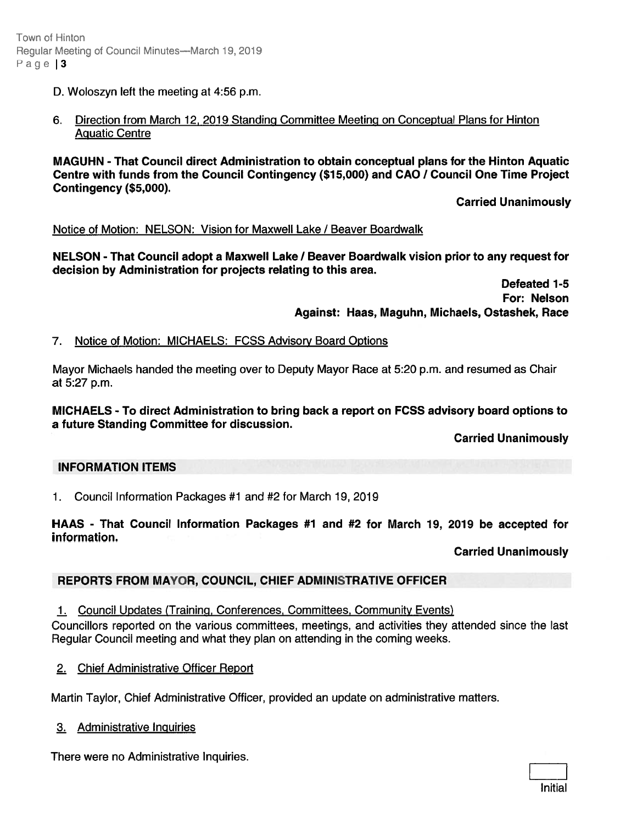- D. Woloszyn left the meeting at 4:56 p.m.
- 6. Direction from March 12, 2019 Standing Committee Meeting on Conceptual Plans for Hinton Aquatic Centre

MAGUHN -That Council direct Administration to obtain conceptual plans for the Hinton Aquatic Centre with funds from the Council Contingency (\$15,000) and CAO / Council One Time Project Contingency (\$5,000). Hinder<br>
19 Moethers of Council Mediate-March 19, 2019<br>
20 Moethers of Council Mediate Change -March 19, 2019<br>
20 Moethers with turnst Council direct Administration to obtain conceptual plans for the Hinton Aquation<br>
20 Moe

Carried Unanimously

### Notice of Motion: NELSON: Vision for Maxwell Lake / Beaver Boardwalk

NELSON - That Council adopt a Maxwell Lake / Beaver Boardwalk vision prior to any request for decision by Administration for projects relating to this area.

> Defeated 1-5 For: Nelson Against: Haas, Maguhn, Michaels, Ostashek, Race

7. Notice of Motion: MICHAELS: FCSS Advisory Board Options

Mayor Michaels handed the meeting over to Deputy Mayor Race at 5:20 p.m. and resumed as Chair at 5:27 p.m.

MICHAELS - To direct Administration to bring back <sup>a</sup> repor<sup>t</sup> on FCSS advisory board options to <sup>a</sup> future Standing Committee for discussion.

Carried Unanimously

# INFORMATION ITEMS

1. Council Information Packages #1 and #2 for March 19, 2019

HAAS - That Council Information Packages #7 and #2 for March 19, 2019 be accepted for information.

Carried Unanimously

# REPORTS FROM MAYOR, COUNCIL, CHIEF ADMINISTRATIVE OFFICER

1. Council Updates (Training, Conferences, Committees, Community Events)

Councillors reported on the various committees, meetings, and activities they attended since the last Regular Council meeting and what they plan on attending in the coming weeks.

2. Chief Administrative Officer Report

Martin Taylor, Chief Administrative Officer, provided an update on administrative matters.

3. Administrative Inquiries